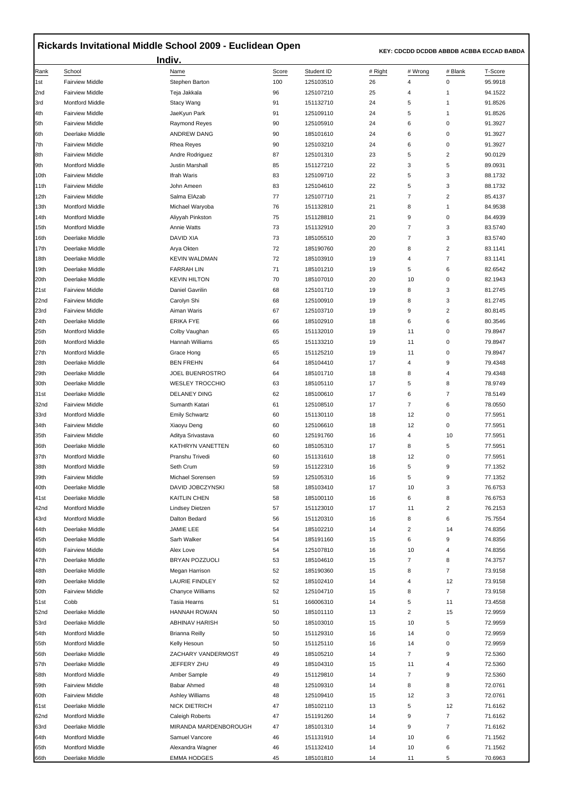## **Rickards Invitational Middle School 2009 - Euclidean Open**

 **KEY: CDCDD DCDDB ABBDB ACBBA ECCAD BABDA** 

|              |                                           | Indiv.                                  |              |                         |               |                                    |                         |                    |
|--------------|-------------------------------------------|-----------------------------------------|--------------|-------------------------|---------------|------------------------------------|-------------------------|--------------------|
| Rank<br>1st  | School<br><b>Fairview Middle</b>          | Name<br>Stephen Barton                  | Score<br>100 | Student ID<br>125103510 | # Right<br>26 | # Wrong<br>$\overline{\mathbf{4}}$ | # Blank<br>0            | T-Score<br>95.9918 |
| 2nd          | <b>Fairview Middle</b>                    | Teja Jakkala                            | 96           | 125107210               | 25            | 4                                  | 1                       | 94.1522            |
| 3rd          | <b>Montford Middle</b>                    | Stacy Wang                              | 91           | 151132710               | 24            | 5                                  | $\mathbf{1}$            | 91.8526            |
| 4th          | <b>Fairview Middle</b>                    | JaeKyun Park                            | 91           | 125109110               | 24            | 5                                  | 1                       | 91.8526            |
| 5th          | <b>Fairview Middle</b>                    | <b>Raymond Reyes</b>                    | 90           | 125105910               | 24            | 6                                  | 0                       | 91.3927            |
| 6th          | Deerlake Middle                           | ANDREW DANG                             | 90           | 185101610               | 24            | 6                                  | 0                       | 91.3927            |
| 7th          | <b>Fairview Middle</b>                    | Rhea Reyes                              | 90           | 125103210               | 24            | 6                                  | 0                       | 91.3927            |
| 8th          | <b>Fairview Middle</b>                    | Andre Rodriguez                         | 87           | 125101310               | 23            | 5                                  | 2                       | 90.0129            |
| 9th          | <b>Montford Middle</b>                    | Justin Marshall                         | 85           | 151127210               | 22            | 3                                  | 5                       | 89.0931            |
| 10th         | <b>Fairview Middle</b>                    | Ifrah Waris                             | 83           | 125109710               | 22            | 5                                  | 3                       | 88.1732            |
| 11th         | <b>Fairview Middle</b>                    | John Ameen                              | 83           | 125104610               | 22            | 5                                  | 3                       | 88.1732            |
| 12th         | <b>Fairview Middle</b>                    | Salma ElAzab                            | 77           | 125107710               | 21            | 7                                  | 2                       | 85.4137            |
| 13th         | <b>Montford Middle</b>                    | Michael Waryoba                         | 76           | 151132810               | 21            | 8                                  | 1                       | 84.9538            |
| 14th         | <b>Montford Middle</b>                    | Aliyyah Pinkston                        | 75           | 151128810               | 21            | 9                                  | 0                       | 84.4939            |
| 15th         | <b>Montford Middle</b>                    | Annie Watts                             | 73           | 151132910               | 20            | $\overline{7}$                     | 3                       | 83.5740            |
| 16th         | Deerlake Middle                           | DAVID XIA                               | 73           | 185105510               | 20            | $\overline{7}$                     | 3                       | 83.5740            |
| 17th         | Deerlake Middle                           | Arya Okten                              | 72           | 185190760               | 20            | 8                                  | $\overline{c}$          | 83.1141            |
| 18th         | Deerlake Middle                           | <b>KEVIN WALDMAN</b>                    | 72           | 185103910               | 19            | 4                                  | 7                       | 83.1141            |
| 19th         | Deerlake Middle                           | <b>FARRAH LIN</b>                       | 71           | 185101210               | 19            | 5                                  | 6                       | 82.6542            |
| 20th         | Deerlake Middle                           | <b>KEVIN HILTON</b>                     | 70           | 185107010               | 20            | 10                                 | 0                       | 82.1943            |
| 21st         | <b>Fairview Middle</b>                    | Daniel Gavrilin                         | 68           | 125101710               | 19            | 8                                  | 3                       | 81.2745            |
| 22nd         | <b>Fairview Middle</b>                    | Carolyn Shi                             | 68           | 125100910               | 19            | 8                                  | 3                       | 81.2745            |
| 23rd         | <b>Fairview Middle</b>                    | Aiman Waris                             | 67           | 125103710               | 19            | 9                                  | $\overline{\mathbf{c}}$ | 80.8145            |
| 24th         | Deerlake Middle                           | <b>ERIKA FYE</b>                        | 66           | 185102910               | 18            | 6                                  | 6                       | 80.3546            |
| 25th         | <b>Montford Middle</b>                    | Colby Vaughan                           | 65           | 151132010               | 19            | 11                                 | 0                       | 79.8947            |
| 26th         | <b>Montford Middle</b>                    | Hannah Williams                         | 65           | 151133210               | 19            | 11<br>11                           | 0<br>0                  | 79.8947            |
| 27th         | <b>Montford Middle</b><br>Deerlake Middle | Grace Hong<br><b>BEN FREHN</b>          | 65           | 151125210               | 19<br>17      | 4                                  | 9                       | 79.8947<br>79.4348 |
| 28th<br>29th | Deerlake Middle                           | JOEL BUENROSTRO                         | 64<br>64     | 185104410<br>185101710  | 18            | 8                                  | 4                       | 79.4348            |
| 30th         | Deerlake Middle                           | <b>WESLEY TROCCHIO</b>                  | 63           | 185105110               | 17            | 5                                  | 8                       | 78.9749            |
| 31st         | Deerlake Middle                           | <b>DELANEY DING</b>                     | 62           | 185100610               | 17            | 6                                  | 7                       | 78.5149            |
| 32nd         | <b>Fairview Middle</b>                    | Sumanth Katari                          | 61           | 125108510               | 17            | $\overline{7}$                     | 6                       | 78.0550            |
| 33rd         | <b>Montford Middle</b>                    | <b>Emily Schwartz</b>                   | 60           | 151130110               | 18            | 12                                 | 0                       | 77.5951            |
| 34th         | <b>Fairview Middle</b>                    | Xiaoyu Deng                             | 60           | 125106610               | 18            | 12                                 | 0                       | 77.5951            |
| 35th         | <b>Fairview Middle</b>                    | Aditya Srivastava                       | 60           | 125191760               | 16            | 4                                  | 10                      | 77.5951            |
| 36th         | Deerlake Middle                           | KATHRYN VANETTEN                        | 60           | 185105310               | 17            | 8                                  | 5                       | 77.5951            |
| 37th         | <b>Montford Middle</b>                    | Pranshu Trivedi                         | 60           | 151131610               | 18            | 12                                 | 0                       | 77.5951            |
| 38th         | <b>Montford Middle</b>                    | Seth Crum                               | 59           | 151122310               | 16            | 5                                  | 9                       | 77.1352            |
| 39th         | <b>Fairview Middle</b>                    | Michael Sorensen                        | 59           | 125105310               | 16            | 5                                  | 9                       | 77.1352            |
| 40th         | Deerlake Middle                           | DAVID JOBCZYNSKI                        | 58           | 185103410               | 17            | 10                                 | 3                       | 76.6753            |
| 41st         | Deerlake Middle                           | <b>KAITLIN CHEN</b>                     | 58           | 185100110               | 16            | 6                                  | 8                       | 76.6753            |
| 42nd         | <b>Montford Middle</b>                    | <b>Lindsey Dietzen</b>                  | 57           | 151123010               | 17            | 11                                 | 2                       | 76.2153            |
| 43rd         | <b>Montford Middle</b>                    | Dalton Bedard                           | 56           | 151120310               | 16            | 8                                  | 6                       | 75.7554            |
| 44th         | Deerlake Middle                           | JAMIE LEE                               | 54           | 185102210               | 14            | $\overline{c}$                     | 14                      | 74.8356            |
| 45th         | Deerlake Middle                           | Sarh Walker                             | 54           | 185191160               | 15            | 6                                  | 9                       | 74.8356            |
| 46th         | <b>Fairview Middle</b>                    | Alex Love                               | 54           | 125107810               | 16            | 10                                 | 4                       | 74.8356            |
| 47th         | Deerlake Middle                           | BRYAN POZZUOLI                          | 53           | 185104610               | 15            | $\overline{7}$                     | 8                       | 74.3757            |
| 48th<br>49th | Deerlake Middle<br>Deerlake Middle        | Megan Harrison<br><b>LAURIE FINDLEY</b> | 52           | 185190360<br>185102410  | 15<br>14      | 8<br>4                             | 7                       | 73.9158<br>73.9158 |
| 50th         | <b>Fairview Middle</b>                    | <b>Chanyce Williams</b>                 | 52<br>52     | 125104710               | 15            | 8                                  | 12<br>7                 | 73.9158            |
| 51st         | Cobb                                      | Tasia Hearns                            | 51           | 166006310               | 14            | 5                                  | 11                      | 73.4558            |
| 52nd         | Deerlake Middle                           | <b>HANNAH ROWAN</b>                     | 50           | 185101110               | 13            | $\overline{\mathbf{c}}$            | 15                      | 72.9959            |
| 53rd         | Deerlake Middle                           | <b>ABHINAV HARISH</b>                   | 50           | 185103010               | 15            | 10                                 | 5                       | 72.9959            |
| 54th         | <b>Montford Middle</b>                    | <b>Brianna Reilly</b>                   | 50           | 151129310               | 16            | 14                                 | 0                       | 72.9959            |
| 55th         | <b>Montford Middle</b>                    | Kelly Hesoun                            | 50           | 151125110               | 16            | 14                                 | 0                       | 72.9959            |
| 56th         | Deerlake Middle                           | ZACHARY VANDERMOST                      | 49           | 185105210               | 14            | $\overline{7}$                     | 9                       | 72.5360            |
| 57th         | Deerlake Middle                           | JEFFERY ZHU                             | 49           | 185104310               | 15            | 11                                 | 4                       | 72.5360            |
| 58th         | <b>Montford Middle</b>                    | Amber Sample                            | 49           | 151129810               | 14            | $\overline{7}$                     | 9                       | 72.5360            |
| 59th         | <b>Fairview Middle</b>                    | Babar Ahmed                             | 48           | 125109310               | 14            | 8                                  | 8                       | 72.0761            |
| 60th         | <b>Fairview Middle</b>                    | Ashley Williams                         | 48           | 125109410               | 15            | 12                                 | 3                       | 72.0761            |
| 61st         | Deerlake Middle                           | <b>NICK DIETRICH</b>                    | 47           | 185102110               | 13            | 5                                  | 12                      | 71.6162            |
| 62nd         | <b>Montford Middle</b>                    | Caleigh Roberts                         | 47           | 151191260               | 14            | 9                                  | 7                       | 71.6162            |
| 63rd         | Deerlake Middle                           | MIRANDA MARDENBOROUGH                   | 47           | 185101310               | 14            | 9                                  | 7                       | 71.6162            |
| 64th         | <b>Montford Middle</b>                    | Samuel Vancore                          | 46           | 151131910               | 14            | 10                                 | 6                       | 71.1562            |
| 65th         | <b>Montford Middle</b>                    | Alexandra Wagner                        | 46           | 151132410               | 14            | 10                                 | 6                       | 71.1562            |
| 66th         | Deerlake Middle                           | <b>EMMA HODGES</b>                      | 45           | 185101810               | 14            | 11                                 | 5                       | 70.6963            |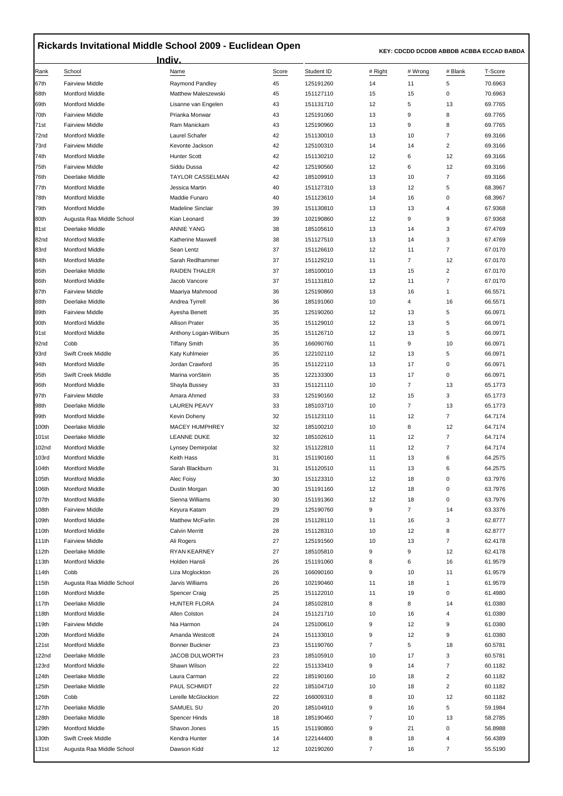## **Rickards Invitational Middle School 2009 - Euclidean Open**

 **KEY: CDCDD DCDDB ABBDB ACBBA ECCAD BABDA** 

|                  |                                                  | <u>Indiv.</u>                     |          |                        |                     |                |                      |                    |
|------------------|--------------------------------------------------|-----------------------------------|----------|------------------------|---------------------|----------------|----------------------|--------------------|
| Rank             | School                                           | Name                              | Score    | Student ID             | # Right             | # Wrong        | # Blank              | T-Score            |
| 67th             | <b>Fairview Middle</b>                           | Raymond Pandley                   | 45       | 125191260              | 14                  | 11             | 5                    | 70.6963            |
| 68th             | <b>Montford Middle</b>                           | Matthew Maleszewski               | 45       | 151127110              | 15                  | 15             | 0                    | 70.6963            |
| 69th             | <b>Montford Middle</b>                           | Lisanne van Engelen               | 43       | 151131710              | 12                  | 5              | 13                   | 69.7765            |
| 70th             | <b>Fairview Middle</b>                           | Prianka Monwar                    | 43       | 125191060              | 13                  | 9              | 8                    | 69.7765            |
| 71 <sub>st</sub> | <b>Fairview Middle</b>                           | Ram Manickam                      | 43       | 125190960              | 13                  | 9              | 8                    | 69.7765            |
| 72nd             | <b>Montford Middle</b>                           | Laurel Schafer                    | 42       | 151130010              | 13                  | 10             | 7                    | 69.3166            |
| 73rd             | <b>Fairview Middle</b>                           | Kevonte Jackson                   | 42       | 125100310              | 14                  | 14             | 2                    | 69.3166            |
| 74th             | <b>Montford Middle</b>                           | <b>Hunter Scott</b>               | 42       | 151130210              | 12                  | 6              | 12                   | 69.3166            |
| 75th             | <b>Fairview Middle</b>                           | Siddu Dussa                       | 42       | 125190560              | 12                  | 6              | 12                   | 69.3166            |
| 76th             | Deerlake Middle                                  | <b>TAYLOR CASSELMAN</b>           | 42       | 185109910              | 13                  | 10             | $\overline{7}$       | 69.3166            |
| 77th<br>78th     | <b>Montford Middle</b><br><b>Montford Middle</b> | Jessica Martin<br>Maddie Funaro   | 40<br>40 | 151127310<br>151123610 | 13<br>14            | 12<br>16       | 5<br>0               | 68.3967<br>68.3967 |
| 79th             | <b>Montford Middle</b>                           | <b>Madeline Sinclair</b>          | 39       | 151130810              | 13                  | 13             | 4                    | 67.9368            |
| 80th             | Augusta Raa Middle School                        | Kian Leonard                      | 39       | 102190860              | 12                  | 9              | 9                    | 67.9368            |
| 81st             | Deerlake Middle                                  | <b>ANNIE YANG</b>                 | 38       | 185105610              | 13                  | 14             | 3                    | 67.4769            |
| 82nd             | <b>Montford Middle</b>                           | Katherine Maxwell                 | 38       | 151127510              | 13                  | 14             | 3                    | 67.4769            |
| 83rd             | <b>Montford Middle</b>                           | Sean Lentz                        | 37       | 151126610              | 12                  | 11             | $\overline{7}$       | 67.0170            |
| 84th             | <b>Montford Middle</b>                           | Sarah Redlhammer                  | 37       | 151129210              | 11                  | $\overline{7}$ | 12                   | 67.0170            |
| 85th             | Deerlake Middle                                  | RAIDEN THALER                     | 37       | 185100010              | 13                  | 15             | $\overline{c}$       | 67.0170            |
| 86th             | <b>Montford Middle</b>                           | Jacob Vancore                     | 37       | 151131810              | 12                  | 11             | $\overline{7}$       | 67.0170            |
| 87th             | <b>Fairview Middle</b>                           | Maariya Mahmood                   | 36       | 125190860              | 13                  | 16             | 1                    | 66.5571            |
| 88th             | Deerlake Middle                                  | Andrea Tyrrell                    | 36       | 185191060              | 10                  | 4              | 16                   | 66.5571            |
| 89th             | <b>Fairview Middle</b>                           | Ayesha Benett                     | 35       | 125190260              | 12                  | 13             | 5                    | 66.0971            |
| 90th             | <b>Montford Middle</b>                           | <b>Allison Prater</b>             | 35       | 151129010              | 12                  | 13             | 5                    | 66.0971            |
| 91st             | <b>Montford Middle</b>                           | Anthony Logan-Wilburn             | 35       | 151126710              | 12                  | 13             | 5                    | 66.0971            |
| 92nd             | Cobb                                             | <b>Tiffany Smith</b>              | 35       | 166090760              | 11                  | 9              | 10                   | 66.0971            |
| 93rd             | Swift Creek Middle                               | Katy Kuhlmeier                    | 35       | 122102110              | 12                  | 13             | 5                    | 66.0971            |
| 94th             | <b>Montford Middle</b>                           | Jordan Crawford                   | 35       | 151122110              | 13                  | 17             | 0                    | 66.0971            |
| 95th             | Swift Creek Middle                               | Marina vonStein                   | 35       | 122133300              | 13                  | 17             | 0                    | 66.0971            |
| 96th             | <b>Montford Middle</b>                           | Shayla Bussey                     | 33       | 151121110              | 10                  | $\overline{7}$ | 13                   | 65.1773            |
| 97th             | <b>Fairview Middle</b>                           | Amara Ahmed                       | 33       | 125190160              | 12                  | 15             | 3                    | 65.1773            |
| 98th             | Deerlake Middle                                  | <b>LAUREN PEAVY</b>               | 33       | 185103710              | 10                  | $\overline{7}$ | 13                   | 65.1773            |
| 99th             | <b>Montford Middle</b>                           | Kevin Doheny                      | 32       | 151123110              | 11                  | 12             | $\overline{7}$       | 64.7174            |
| 100th            | Deerlake Middle<br>Deerlake Middle               | <b>MACEY HUMPHREY</b>             | 32       | 185100210              | 10<br>11            | 8<br>12        | 12<br>$\overline{7}$ | 64.7174<br>64.7174 |
| 101st<br>102nd   | <b>Montford Middle</b>                           | LEANNE DUKE<br>Lynsey Demirpolat  | 32<br>32 | 185102610<br>151122810 | 11                  | 12             | 7                    | 64.7174            |
| 103rd            | <b>Montford Middle</b>                           | Keith Hass                        | 31       | 151190160              | 11                  | 13             | 6                    | 64.2575            |
| 104th            | <b>Montford Middle</b>                           | Sarah Blackburn                   | 31       | 151120510              | 11                  | 13             | 6                    | 64.2575            |
| 105th            | <b>Montford Middle</b>                           | Alec Foisy                        | 30       | 151123310              | 12                  | 18             | 0                    | 63.7976            |
| 106th            | <b>Montford Middle</b>                           | Dustin Morgan                     | 30       | 151191160              | 12                  | 18             | $\pmb{0}$            | 63.7976            |
| 107th            | <b>Montford Middle</b>                           | Sienna Williams                   | 30       | 151191360              | 12                  | 18             | 0                    | 63.7976            |
| 108th            | <b>Fairview Middle</b>                           | Keyura Katam                      | 29       | 125190760              | 9                   | $\overline{7}$ | 14                   | 63.3376            |
| 109th            | <b>Montford Middle</b>                           | <b>Matthew McFarlin</b>           | 28       | 151128110              | 11                  | 16             | 3                    | 62.8777            |
| 110th            | <b>Montford Middle</b>                           | <b>Calvin Merritt</b>             | 28       | 151128310              | 10                  | 12             | 8                    | 62.8777            |
| 111th            | <b>Fairview Middle</b>                           | Ali Rogers                        | 27       | 125191560              | 10                  | 13             | 7                    | 62.4178            |
| 112th            | Deerlake Middle                                  | RYAN KEARNEY                      | 27       | 185105810              | 9                   | 9              | 12                   | 62.4178            |
| 113th            | <b>Montford Middle</b>                           | Holden Hansli                     | 26       | 151191060              | 8                   | 6              | 16                   | 61.9579            |
| 114th            | Cobb                                             | Liza Mcglockton                   | 26       | 166090160              | 9                   | 10             | 11                   | 61.9579            |
| 115th            | Augusta Raa Middle School                        | Jarvis Williams                   | 26       | 102190460              | 11                  | 18             | 1                    | 61.9579            |
| 116th            | <b>Montford Middle</b>                           | Spencer Craig                     | 25       | 151122010              | 11                  | 19             | 0                    | 61.4980            |
| 117th            | Deerlake Middle                                  | HUNTER FLORA                      | 24       | 185102810              | 8                   | 8              | 14                   | 61.0380            |
| 118th            | <b>Montford Middle</b>                           | Allen Colston                     | 24       | 151121710              | 10                  | 16             | 4                    | 61.0380            |
| 119th            | <b>Fairview Middle</b>                           | Nia Harmon                        | 24       | 125100610              | 9                   | 12             | 9                    | 61.0380            |
| 120th<br>121st   | <b>Montford Middle</b><br><b>Montford Middle</b> | Amanda Westcott<br>Bonner Buckner | 24<br>23 | 151133010<br>151190760 | 9<br>$\overline{7}$ | 12<br>5        | 9<br>18              | 61.0380<br>60.5781 |
| 122nd            | Deerlake Middle                                  | <b>JACOB DULWORTH</b>             | 23       | 185105910              | 10                  | 17             | 3                    | 60.5781            |
| 123rd            | <b>Montford Middle</b>                           | Shawn Wilson                      | 22       | 151133410              | 9                   | 14             | 7                    | 60.1182            |
| 124th            | Deerlake Middle                                  | Laura Carman                      | 22       | 185190160              | 10                  | 18             | 2                    | 60.1182            |
| 125th            | Deerlake Middle                                  | PAUL SCHMIDT                      | 22       | 185104710              | 10                  | 18             | 2                    | 60.1182            |
| 126th            | Cobb                                             | Lerelle McGlockton                | 22       | 166009310              | 8                   | 10             | 12                   | 60.1182            |
| 127th            | Deerlake Middle                                  | SAMUEL SU                         | 20       | 185104910              | 9                   | 16             | 5                    | 59.1984            |
| 128th            | Deerlake Middle                                  | Spencer Hinds                     | 18       | 185190460              | $\overline{7}$      | 10             | 13                   | 58.2785            |
| 129th            | <b>Montford Middle</b>                           | Shavon Jones                      | 15       | 151190860              | 9                   | 21             | 0                    | 56.8988            |
| 130th            | Swift Creek Middle                               | Kendra Hunter                     | 14       | 122144400              | 8                   | 18             | 4                    | 56.4389            |
| 131st            | Augusta Raa Middle School                        | Dawson Kidd                       | 12       | 102190260              | $\overline{7}$      | 16             | 7                    | 55.5190            |